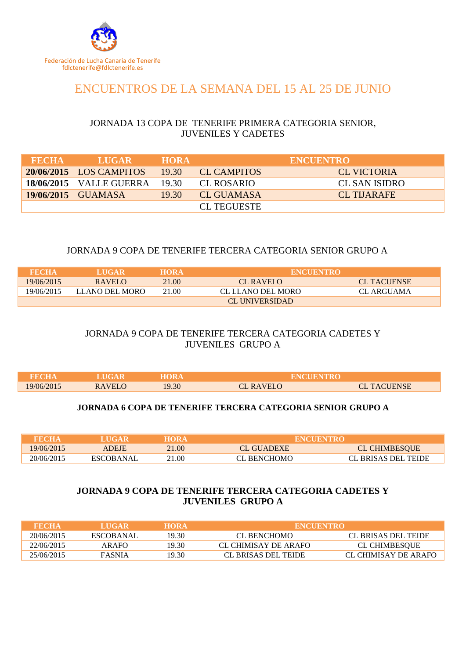

# ENCUENTROS DE LA SEMANA DEL 15 AL 25 DE JUNIO

# JORNADA 13 COPA DE TENERIFE PRIMERA CATEGORIA SENIOR, JUVENILES Y CADETES

| <b>FECHA</b> | <b>LUGAR</b>            | <b>HORA</b> |                    | <b>ENCUENTRO</b> |
|--------------|-------------------------|-------------|--------------------|------------------|
|              | 20/06/2015 LOS CAMPITOS | 19.30       | CL CAMPITOS        | CL VICTORIA      |
|              | 18/06/2015 VALLE GUERRA | - 19.30     | CL ROSARIO         | CL SAN ISIDRO    |
|              | 19/06/2015 GUAMASA      | 19.30       | CL GUAMASA         | CL THARAFE       |
|              |                         |             | <b>CL TEGUESTE</b> |                  |

## JORNADA 9 COPA DE TENERIFE TERCERA CATEGORIA SENIOR GRUPO A

| FECHA      | <b>LUGAR</b>   | <b>HORA</b> | <b>ENCUENTRO</b>  |                    |
|------------|----------------|-------------|-------------------|--------------------|
| 19/06/2015 | RAVELO         | 21.00       | CL RAVELO         | <b>CL TACUENSE</b> |
| 19/06/2015 | LLANO DEL MORO | 21.00       | CL LLANO DEL MORO | CL ARGUAMA         |
|            |                |             | CL UNIVERSIDAD    |                    |

## JORNADA 9 COPA DE TENERIFE TERCERA CATEGORIA CADETES Y JUVENILES GRUPO A

| FECHA      |               |       |               |                 |
|------------|---------------|-------|---------------|-----------------|
| 19/06/2015 | <b>RAVELO</b> | 19.30 | <b>RAVELO</b> | <b>TACUENSE</b> |

#### **JORNADA 6 COPA DE TENERIFE TERCERA CATEGORIA SENIOR GRUPO A**

| <b>THEOHA</b> | LUGAR.    | HORA  | <b>ENCUENTRO</b> |                      |
|---------------|-----------|-------|------------------|----------------------|
| 19/06/2015    | ADEJE     | 21.00 | CL GUADEXE       | <b>CL CHIMBESQUE</b> |
| 20/06/2015    | ESCOBANAL | 21.00 | CL BENCHOMO      | CL BRISAS DEL TEIDE  |

## **JORNADA 9 COPA DE TENERIFE TERCERA CATEGORIA CADETES Y JUVENILES GRUPO A**

| FECHA      | LUGAR         | <b>HORA</b> | <b>ENCUENTRO</b>     |                      |
|------------|---------------|-------------|----------------------|----------------------|
| 20/06/2015 | ESCOBANAL     | 19.30.      | CL BENCHOMO          | CL BRISAS DEL TEIDE  |
| 22/06/2015 | AR AFO        | 19.30.      | CL CHIMISAY DE ARAFO | CL CHIMBESOUE        |
| 25/06/2015 | <b>FASNIA</b> | 19.30.      | CL BRISAS DEL TEIDE  | CL CHIMISAY DE ARAFO |